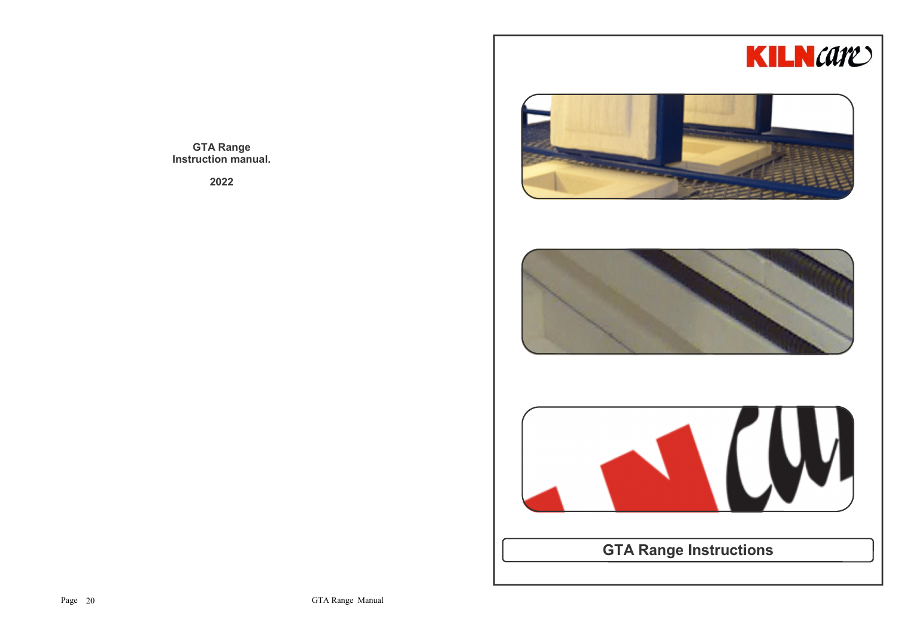





**GTA Range Instructions**

**GTA Range Instruction manual.**

**2022**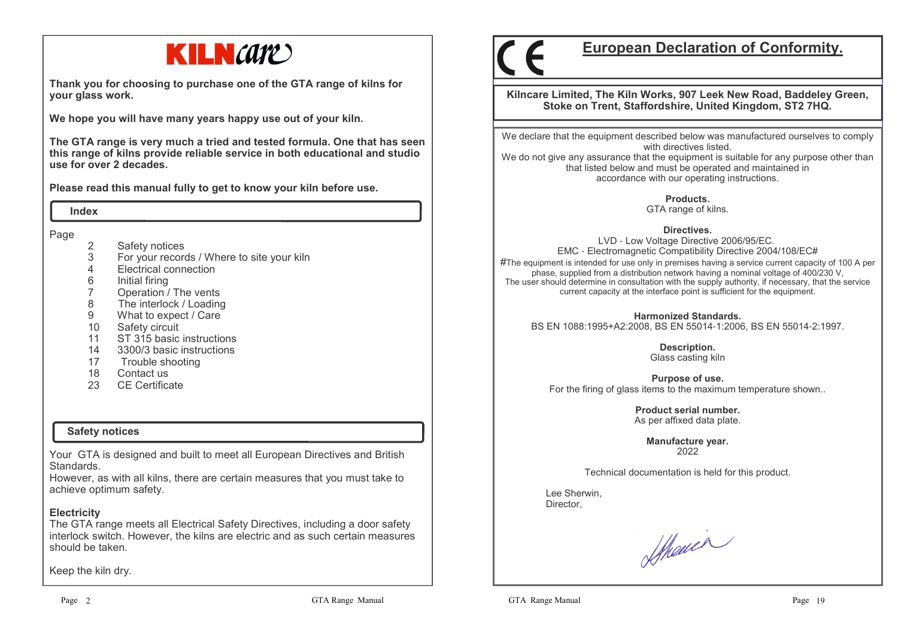

**Thank you for choosing to purchase one of the GTA range of kilns for your glass work.**

**We hope you will have many years happy use out of your kiln.** 

**The GTA range is very much a tried and tested formula. One that has seen this range of kilns provide reliable service in both educational and studio use for over 2 decades.**

**Please read this manual fully to get to know your kiln before use.**

 **Index**

Page

- 2 Safety notices<br>3 For your record
- 3 For your records / Where to site your kiln
- 4 Electrical connection
- 
- 6 Initial firing7 Operation / The vents
- The interlock / Loading 8
- 9 What to expect / Care
- 10 Safety circuit
- 11 ST 315 basic instructions
- 14 3300/3 basic instructions
- 17 Trouble shooting
- 18 Contact us
- 23 CE Certificate

#### **Safety notices**

Your GTA is designed and built to meet all European Directives and British Standards.

 However, as with all kilns, there are certain measures that you must take to achieve optimum safety.

#### **Electricity**

 The GTA range meets all Electrical Safety Directives, including a door safety interlock switch. However, the kilns are electric and as such certain measures should be taken.

Keep the kiln dry.

# **European Declaration of Conformity.**

**Kilncare Limited, The Kiln Works, 907 Leek New Road, Baddeley Green, Stoke on Trent, Staffordshire, United Kingdom, ST2 7HQ.**

We declare that the equipment described below was manufactured ourselves to comply with directives listed.

 We do not give any assurance that the equipment is suitable for any purpose other than that listed below and must be operated and maintained in accordance with our operating instructions.

**Products.**

GTA range of kilns.

#### **Directives.**

 LVD - Low Voltage Directive 2006/95/EC. EMC - Electromagnetic Compatibility Directive 2004/108/EC# $\#$ The equipment is intended for use only in premises having a service current capacity of 100 A per phase, supplied from a distribution network having a nominal voltage of 400/230 V, The user should determine in consultation with the supply authority, if necessary, that the service current capacity at the interface point is sufficient for the equipment.

**Harmonized Standards.**BS EN 1088:1995+A2:2008, BS EN 55014-1:2006, BS EN 55014-2:1997.

> **Description.** Glass casting kiln

**Purpose of use.**For the firing of glass items to the maximum temperature shown..

> **Product serial number.**As per affixed data plate.

> > **Manufacture year.**2022

Technical documentation is held for this product.

 Lee Sherwin,Director,

Shower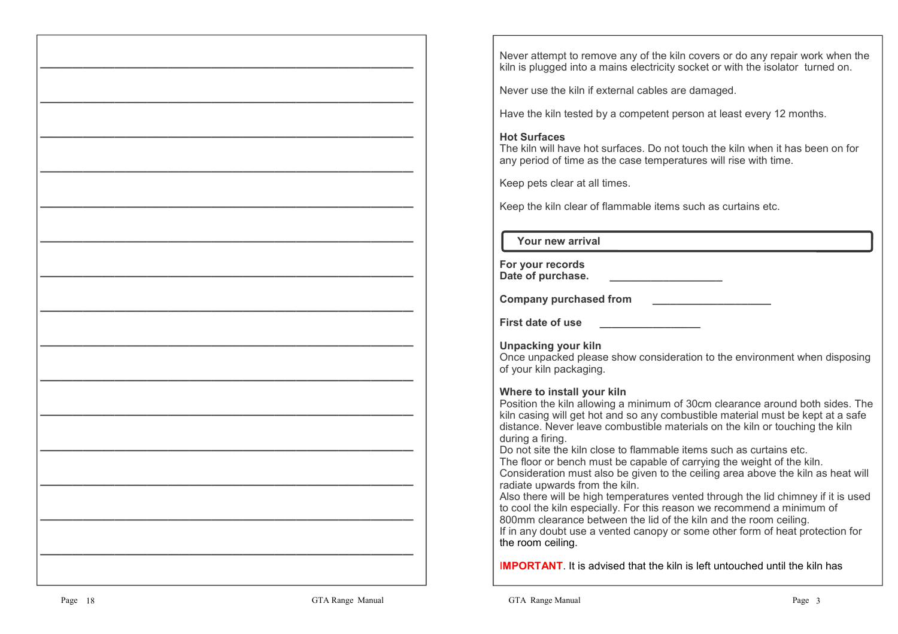Never attempt to remove any of the kiln covers or do any repair work when the kiln is plugged into a mains electricity socket or with the isolator turned on.

Never use the kiln if external cables are damaged.

Have the kiln tested by a competent person at least every 12 months.

#### **Hot Surfaces**

 The kiln will have hot surfaces. Do not touch the kiln when it has been on for any period of time as the case temperatures will rise with time.

Keep pets clear at all times.

Keep the kiln clear of flammable items such as curtains etc.

 **Your new arrival**

| For your records  |  |
|-------------------|--|
| Date of purchase. |  |

**Company purchased from \_\_\_\_\_\_\_\_\_\_\_\_\_\_\_\_\_\_\_\_**

**First date of use First date of use** 

**Unpacking your kiln**

 Once unpacked please show consideration to the environment when disposing of your kiln packaging.

# **Where to install your kiln**

 Position the kiln allowing a minimum of 30cm clearance around both sides. The kiln casing will get hot and so any combustible material must be kept at a safe distance. Never leave combustible materials on the kiln or touching the kiln during a firing.

Do not site the kiln close to flammable items such as curtains etc.

 The floor or bench must be capable of carrying the weight of the kiln. Consideration must also be given to the ceiling area above the kiln as heat will radiate upwards from the kiln.

 Also there will be high temperatures vented through the lid chimney if it is used to cool the kiln especially. For this reason we recommend a minimum of 800mm clearance between the lid of the kiln and the room ceiling. If in any doubt use a vented canopy or some other form of heat protection for the room ceiling.

I**MPORTANT**. It is advised that the kiln is left untouched until the kiln has

**———————————————————————————————————** 

**———————————————————————————————————** 

**———————————————————————————————————** 

**———————————————————————————————————** 

**———————————————————————————————————** 

**———————————————————————————————————** 

**———————————————————————————————————** 

**———————————————————————————————————** 

**———————————————————————————————————** 

**———————————————————————————————————** 

**———————————————————————————————————** 

**———————————————————————————————————** 

**———————————————————————————————————** 

**———————————————————————————————————** 

**———————————————————————————————————**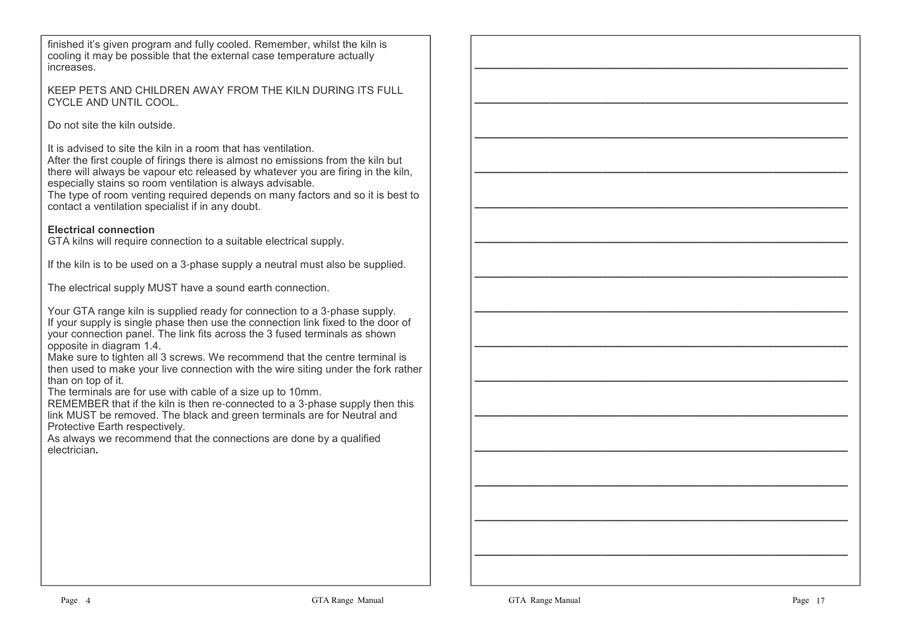finished it's given program and fully cooled. Remember, whilst the kiln is cooling it may be possible that the external case temperature actually increases.

KEEP PETS AND CHILDREN AWAY FROM THE KILN DURING ITS FULL CYCLE AND UNTIL COOL.

Do not site the kiln outside.

It is advised to site the kiln in a room that has ventilation.

 After the first couple of firings there is almost no emissions from the kiln but there will always be vapour etc released by whatever you are firing in the kiln, especially stains so room ventilation is always advisable.

 The type of room venting required depends on many factors and so it is best to contact a ventilation specialist if in any doubt.

#### **Electrical connection**

GTA kilns will require connection to a suitable electrical supply.

If the kiln is to be used on a 3-phase supply a neutral must also be supplied.

The electrical supply MUST have a sound earth connection.

Your GTA range kiln is supplied ready for connection to a 3-phase supply. If your supply is single phase then use the connection link fixed to the door of your connection panel. The link fits across the 3 fused terminals as shown opposite in diagram 1.4.

 Make sure to tighten all 3 screws. We recommend that the centre terminal is then used to make your live connection with the wire siting under the fork rather than on top of it.

The terminals are for use with cable of a size up to 10mm.

 REMEMBER that if the kiln is then re-connected to a 3-phase supply then this link MUST be removed. The black and green terminals are for Neutral and Protective Earth respectively.

 As always we recommend that the connections are done by a qualified electrician**.**

**———————————————————————————————————** 

**———————————————————————————————————** 

**———————————————————————————————————** 

**———————————————————————————————————** 

**———————————————————————————————————** 

**———————————————————————————————————** 

**———————————————————————————————————** 

**———————————————————————————————————** 

**———————————————————————————————————** 

**———————————————————————————————————** 

**———————————————————————————————————** 

**———————————————————————————————————** 

**———————————————————————————————————** 

**———————————————————————————————————** 

**———————————————————————————————————**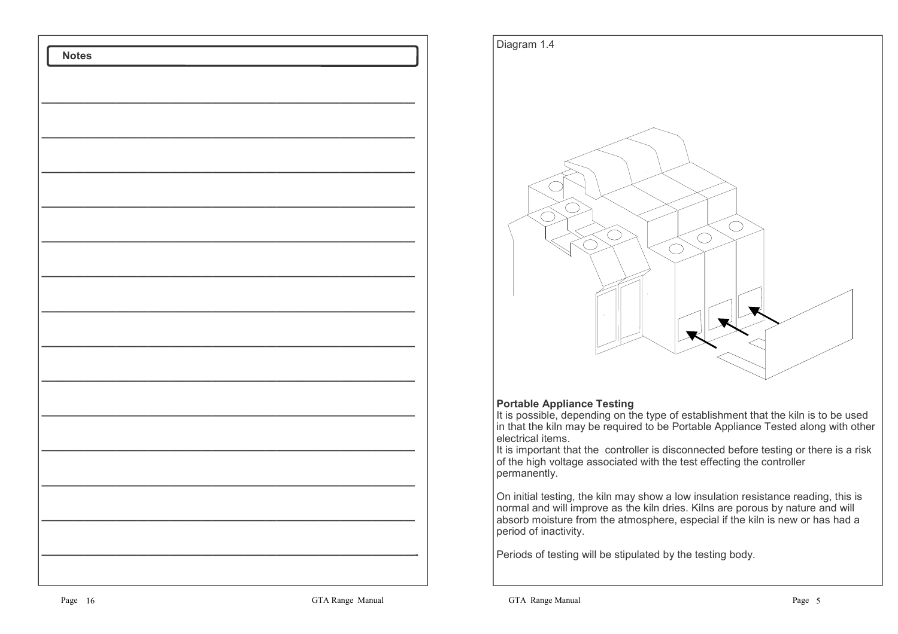



#### **Portable Appliance Testing**

 It is possible, depending on the type of establishment that the kiln is to be used in that the kiln may be required to be Portable Appliance Tested along with other electrical items.

 It is important that the controller is disconnected before testing or there is a risk of the high voltage associated with the test effecting the controller permanently.

On initial testing, the kiln may show a low insulation resistance reading, this is normal and will improve as the kiln dries. Kilns are porous by nature and will absorb moisture from the atmosphere, especial if the kiln is new or has had a period of inactivity.

Periods of testing will be stipulated by the testing body.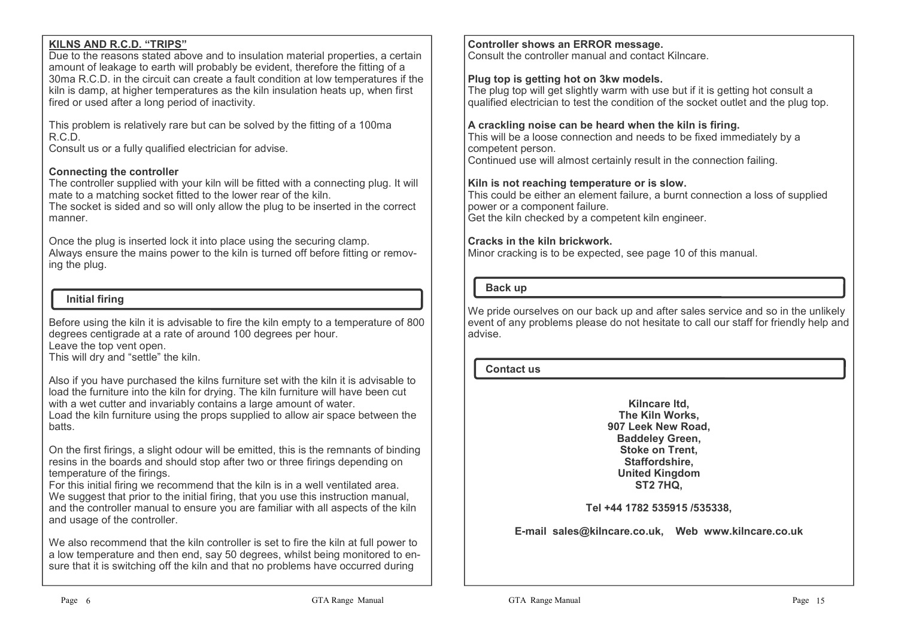#### **KILNS AND R.C.D. "TRIPS"**

 Due to the reasons stated above and to insulation material properties, a certain amount of leakage to earth will probably be evident, therefore the fitting of a 30ma R.C.D. in the circuit can create a fault condition at low temperatures if the kiln is damp, at higher temperatures as the kiln insulation heats up, when first fired or used after a long period of inactivity.

This problem is relatively rare but can be solved by the fitting of a 100ma R.C.D.

Consult us or a fully qualified electrician for advise.

#### **Connecting the controller**

 The controller supplied with your kiln will be fitted with a connecting plug. It will mate to a matching socket fitted to the lower rear of the kiln.

 The socket is sided and so will only allow the plug to be inserted in the correct manner.

Once the plug is inserted lock it into place using the securing clamp. Always ensure the mains power to the kiln is turned off before fitting or removing the plug.

#### **Initial firing**

Before using the kiln it is advisable to fire the kiln empty to a temperature of 800 degrees centigrade at a rate of around 100 degrees per hour. Leave the top vent open.

This will dry and "settle" the kiln.

Also if you have purchased the kilns furniture set with the kiln it is advisable to load the furniture into the kiln for drying. The kiln furniture will have been cut with a wet cutter and invariably contains a large amount of water. Load the kiln furniture using the props supplied to allow air space between the batts.

On the first firings, a slight odour will be emitted, this is the remnants of binding resins in the boards and should stop after two or three firings depending on temperature of the firings.

 For this initial firing we recommend that the kiln is in a well ventilated area. We suggest that prior to the initial firing, that you use this instruction manual, and the controller manual to ensure you are familiar with all aspects of the kiln and usage of the controller.

We also recommend that the kiln controller is set to fire the kiln at full power to a low temperature and then end, say 50 degrees, whilst being monitored to ensure that it is switching off the kiln and that no problems have occurred during

**Controller shows an ERROR message.**

Consult the controller manual and contact Kilncare.

#### **Plug top is getting hot on 3kw models.**

 The plug top will get slightly warm with use but if it is getting hot consult a qualified electrician to test the condition of the socket outlet and the plug top.

#### **A crackling noise can be heard when the kiln is firing.**

 This will be a loose connection and needs to be fixed immediately by a competent person.Continued use will almost certainly result in the connection failing.

#### **Kiln is not reaching temperature or is slow.**

 This could be either an element failure, a burnt connection a loss of supplied power or a component failure. Get the kiln checked by a competent kiln engineer.

#### **Cracks in the kiln brickwork.**

Minor cracking is to be expected, see page 10 of this manual.

#### **Back up**

We pride ourselves on our back up and after sales service and so in the unlikely event of any problems please do not hesitate to call our staff for friendly help and advise.

#### **Contact us**

**Kilncare ltd, The Kiln Works, 907 Leek New Road, Baddeley Green, Stoke on Trent, Staffordshire, United KingdomST2 7HQ,**

#### **Tel +44 1782 535915 /535338,**

**E-mail sales@kilncare.co.uk, Web www.kilncare.co.uk**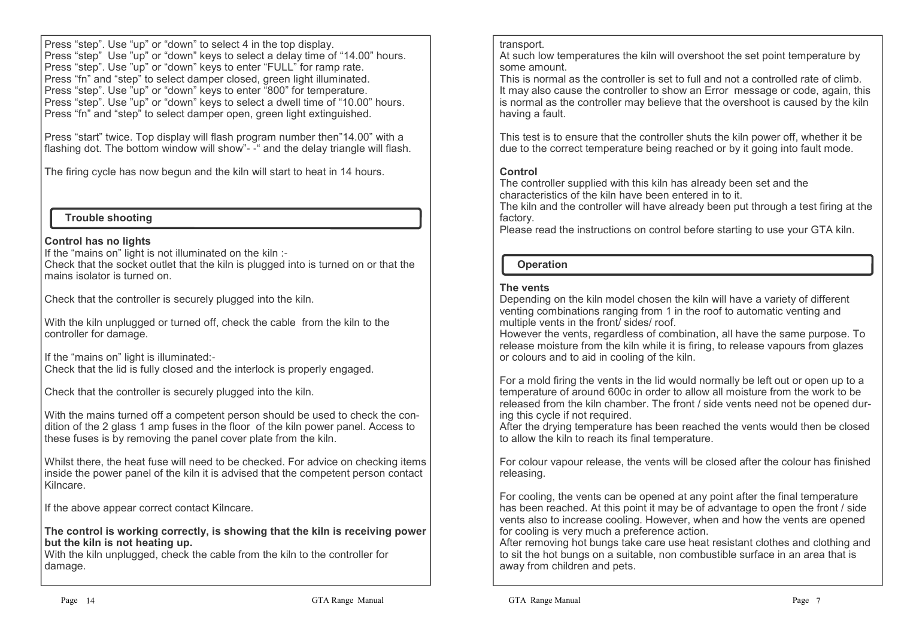Press "step". Use "up" or "down" to select 4 in the top display. Press "step" Use "up" or "down" keys to select a delay time of "14.00" hours.Press "step". Use "up" or "down" keys to enter "FULL" for ramp rate. Press "fn" and "step" to select damper closed, green light illuminated. Press "step". Use "up" or "down" keys to enter "800" for temperature. Press "step". Use "up" or "down" keys to select a dwell time of "10.00" hours.Press "fn" and "step" to select damper open, green light extinguished.

Press "start" twice. Top display will flash program number then"14.00" with a flashing dot. The bottom window will show"- -" and the delay triangle will flash.

The firing cycle has now begun and the kiln will start to heat in 14 hours.

#### **Trouble shooting**

#### **Control has no lights**

If the "mains on" light is not illuminated on the kiln :-

 Check that the socket outlet that the kiln is plugged into is turned on or that the mains isolator is turned on.

Check that the controller is securely plugged into the kiln.

With the kiln unplugged or turned off, check the cable from the kiln to the controller for damage.

If the "mains on" light is illuminated:- Check that the lid is fully closed and the interlock is properly engaged.

Check that the controller is securely plugged into the kiln.

With the mains turned off a competent person should be used to check the condition of the 2 glass 1 amp fuses in the floor of the kiln power panel. Access to these fuses is by removing the panel cover plate from the kiln.

Whilst there, the heat fuse will need to be checked. For advice on checking items inside the power panel of the kiln it is advised that the competent person contact Kilncare.

If the above appear correct contact Kilncare.

**The control is working correctly, is showing that the kiln is receiving power but the kiln is not heating up.**

 With the kiln unplugged, check the cable from the kiln to the controller for damage.

#### transport.

 At such low temperatures the kiln will overshoot the set point temperature by some amount.

 This is normal as the controller is set to full and not a controlled rate of climb. It may also cause the controller to show an Error message or code, again, this is normal as the controller may believe that the overshoot is caused by the kiln having a fault.

This test is to ensure that the controller shuts the kiln power off, whether it be due to the correct temperature being reached or by it going into fault mode.

#### **Control**

 The controller supplied with this kiln has already been set and the characteristics of the kiln have been entered in to it.

 The kiln and the controller will have already been put through a test firing at the factory.

Please read the instructions on control before starting to use your GTA kiln.

# **Operation**

## **The vents**

 Depending on the kiln model chosen the kiln will have a variety of different venting combinations ranging from 1 in the roof to automatic venting and multiple vents in the front/ sides/ roof.

 However the vents, regardless of combination, all have the same purpose. To release moisture from the kiln while it is firing, to release vapours from glazes or colours and to aid in cooling of the kiln.

For a mold firing the vents in the lid would normally be left out or open up to a temperature of around 600c in order to allow all moisture from the work to be released from the kiln chamber. The front / side vents need not be opened during this cycle if not required.

 After the drying temperature has been reached the vents would then be closed to allow the kiln to reach its final temperature.

For colour vapour release, the vents will be closed after the colour has finished releasing.

For cooling, the vents can be opened at any point after the final temperature has been reached. At this point it may be of advantage to open the front / side vents also to increase cooling. However, when and how the vents are opened for cooling is very much a preference action.

 After removing hot bungs take care use heat resistant clothes and clothing and to sit the hot bungs on a suitable, non combustible surface in an area that is away from children and pets.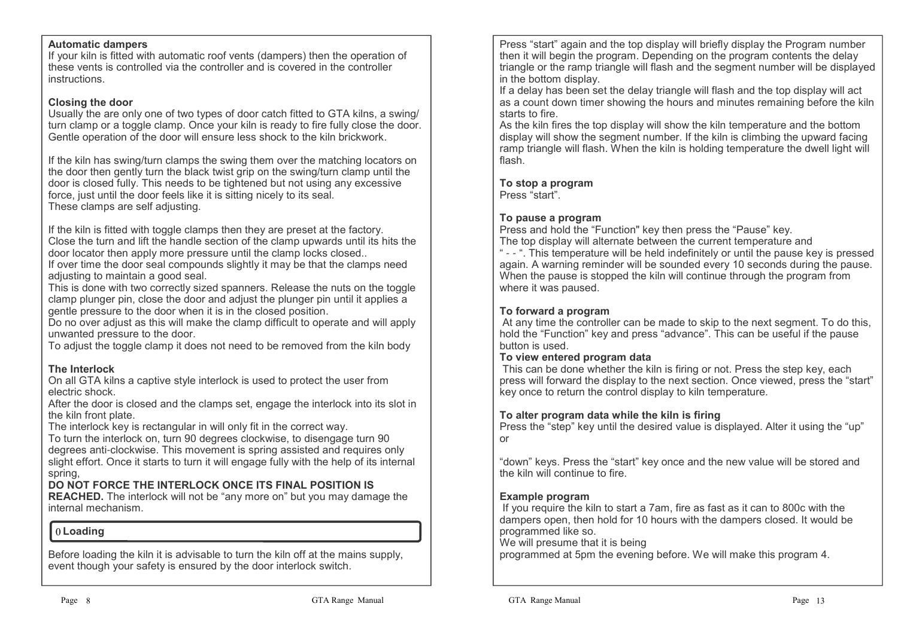#### **Automatic dampers**

 If your kiln is fitted with automatic roof vents (dampers) then the operation of these vents is controlled via the controller and is covered in the controller instructions.

#### **Closing the door**

 Usually the are only one of two types of door catch fitted to GTA kilns, a swing/ turn clamp or a toggle clamp. Once your kiln is ready to fire fully close the door.Gentle operation of the door will ensure less shock to the kiln brickwork.

If the kiln has swing/turn clamps the swing them over the matching locators on the door then gently turn the black twist grip on the swing/turn clamp until the door is closed fully. This needs to be tightened but not using any excessive force, just until the door feels like it is sitting nicely to its seal.These clamps are self adjusting.

If the kiln is fitted with toggle clamps then they are preset at the factory. Close the turn and lift the handle section of the clamp upwards until its hits the door locator then apply more pressure until the clamp locks closed..

 If over time the door seal compounds slightly it may be that the clamps need adjusting to maintain a good seal.

 This is done with two correctly sized spanners. Release the nuts on the toggle clamp plunger pin, close the door and adjust the plunger pin until it applies a gentle pressure to the door when it is in the closed position.

 Do no over adjust as this will make the clamp difficult to operate and will apply unwanted pressure to the door.

To adjust the toggle clamp it does not need to be removed from the kiln body

#### **The Interlock**

 On all GTA kilns a captive style interlock is used to protect the user from electric shock.

 After the door is closed and the clamps set, engage the interlock into its slot in the kiln front plate.

The interlock key is rectangular in will only fit in the correct way.

 To turn the interlock on, turn 90 degrees clockwise, to disengage turn 90 degrees anti-clockwise. This movement is spring assisted and requires only slight effort. Once it starts to turn it will engage fully with the help of its internal spring,

#### **DO NOT FORCE THE INTERLOCK ONCE ITS FINAL POSITION IS**

 **REACHED.** The interlock will not be "any more on" but you may damage the internal mechanism.

#### **0** Loading

Before loading the kiln it is advisable to turn the kiln off at the mains supply, event though your safety is ensured by the door interlock switch.

Press "start" again and the top display will briefly display the Program number then it will begin the program. Depending on the program contents the delay triangle or the ramp triangle will flash and the segment number will be displayed in the bottom display.

 If a delay has been set the delay triangle will flash and the top display will act as a count down timer showing the hours and minutes remaining before the kiln starts to fire.

 As the kiln fires the top display will show the kiln temperature and the bottom display will show the segment number. If the kiln is climbing the upward facing ramp triangle will flash. When the kiln is holding temperature the dwell light will flash.

## **To stop a program**

Press "start".

#### **To pause a program**

 Press and hold the "Function" key then press the "Pause" key. The top display will alternate between the current temperature and " - - ". This temperature will be held indefinitely or until the pause key is pressed again. A warning reminder will be sounded every 10 seconds during the pause. When the pause is stopped the kiln will continue through the program from where it was paused.

#### **To forward a program**

 At any time the controller can be made to skip to the next segment. To do this, hold the "Function" key and press "advance". This can be useful if the pause button is used.

#### **To view entered program data**

 This can be done whether the kiln is firing or not. Press the step key, each press will forward the display to the next section. Once viewed, press the "start" key once to return the control display to kiln temperature.

#### **To alter program data while the kiln is firing**

 Press the "step" key until the desired value is displayed. Alter it using the "up" or

"down" keys. Press the "start" key once and the new value will be stored and the kiln will continue to fire.

#### **Example program**

 If you require the kiln to start a 7am, fire as fast as it can to 800c with the dampers open, then hold for 10 hours with the dampers closed. It would be programmed like so.

We will presume that it is being

programmed at 5pm the evening before. We will make this program 4.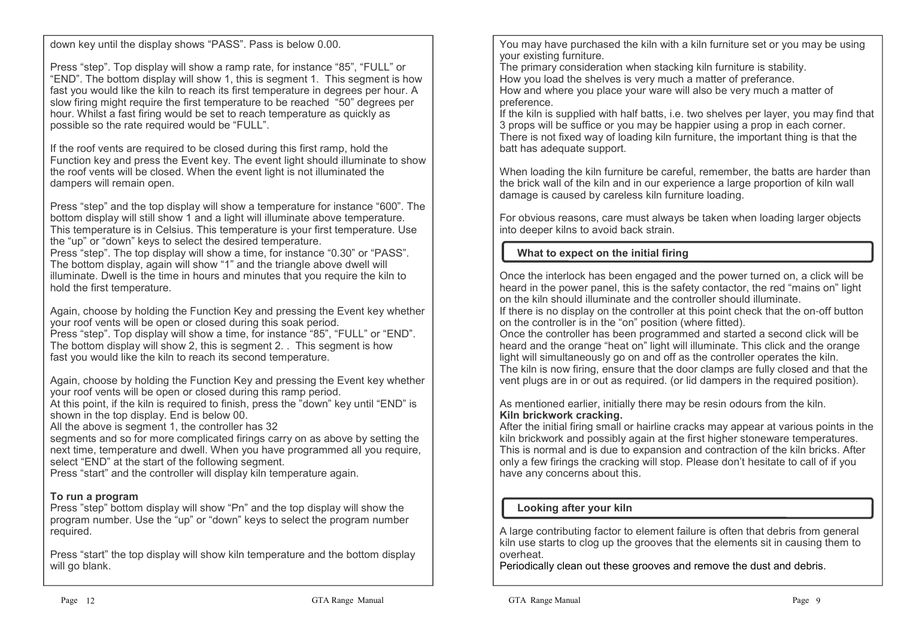down key until the display shows "PASS". Pass is below 0.00.

Press "step". Top display will show a ramp rate, for instance "85", "FULL" or "END". The bottom display will show 1, this is segment 1. This segment is how fast you would like the kiln to reach its first temperature in degrees per hour. A slow firing might require the first temperature to be reached "50" degrees per hour. Whilst a fast firing would be set to reach temperature as quickly as possible so the rate required would be "FULL".

If the roof vents are required to be closed during this first ramp, hold the Function key and press the Event key. The event light should illuminate to show the roof vents will be closed. When the event light is not illuminated the dampers will remain open.

Press "step" and the top display will show a temperature for instance "600". The bottom display will still show 1 and a light will illuminate above temperature. This temperature is in Celsius. This temperature is your first temperature. Use the "up" or "down" keys to select the desired temperature. Press "step". The top display will show a time, for instance "0.30" or "PASS".

The bottom display, again will show "1" and the triangle above dwell will illuminate. Dwell is the time in hours and minutes that you require the kiln to hold the first temperature.

Again, choose by holding the Function Key and pressing the Event key whether your roof vents will be open or closed during this soak period. Press "step". Top display will show a time, for instance "85", "FULL" or "END". The bottom display will show 2, this is segment 2. . This segment is how fast you would like the kiln to reach its second temperature.

Again, choose by holding the Function Key and pressing the Event key whether your roof vents will be open or closed during this ramp period.

 At this point, if the kiln is required to finish, press the "down" key until "END" is shown in the top display. End is below 00.

All the above is segment 1, the controller has 32

 segments and so for more complicated firings carry on as above by setting the next time, temperature and dwell. When you have programmed all you require, select "END" at the start of the following segment.

Press "start" and the controller will display kiln temperature again.

# **To run a program**

 Press "step" bottom display will show "Pn" and the top display will show the program number. Use the "up" or "down" keys to select the program number required.

Press "start" the top display will show kiln temperature and the bottom display will go blank.

You may have purchased the kiln with a kiln furniture set or you may be using your existing furniture.

 The primary consideration when stacking kiln furniture is stability.How you load the shelves is very much a matter of preferance.

 How and where you place your ware will also be very much a matter of preference.

 If the kiln is supplied with half batts, i.e. two shelves per layer, you may find that 3 props will be suffice or you may be happier using a prop in each corner. There is not fixed way of loading kiln furniture, the important thing is that the batt has adequate support.

When loading the kiln furniture be careful, remember, the batts are harder than the brick wall of the kiln and in our experience a large proportion of kiln wall damage is caused by careless kiln furniture loading.

For obvious reasons, care must always be taken when loading larger objects into deeper kilns to avoid back strain.

# **What to expect on the initial firing**

Once the interlock has been engaged and the power turned on, a click will be heard in the power panel, this is the safety contactor, the red "mains on" light on the kiln should illuminate and the controller should illuminate.

 If there is no display on the controller at this point check that the on-off button on the controller is in the "on" position (where fitted).

 Once the controller has been programmed and started a second click will be heard and the orange "heat on" light will illuminate. This click and the orange light will simultaneously go on and off as the controller operates the kiln. The kiln is now firing, ensure that the door clamps are fully closed and that the vent plugs are in or out as required. (or lid dampers in the required position).

As mentioned earlier, initially there may be resin odours from the kiln.**Kiln brickwork cracking.**

 After the initial firing small or hairline cracks may appear at various points in the kiln brickwork and possibly again at the first higher stoneware temperatures. This is normal and is due to expansion and contraction of the kiln bricks. After only a few firings the cracking will stop. Please don't hesitate to call of if you have any concerns about this.

# **Looking after your kiln**

A large contributing factor to element failure is often that debris from general kiln use starts to clog up the grooves that the elements sit in causing them to overheat.

Periodically clean out these grooves and remove the dust and debris.